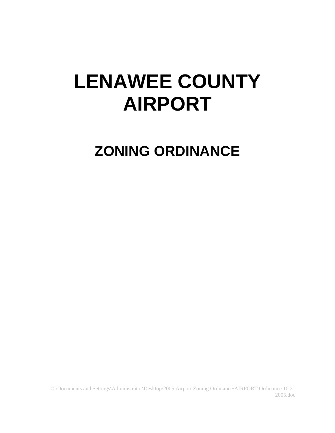# **LENAWEE COUNTY AIRPORT**

## **ZONING ORDINANCE**

C:\Documents and Settings\Administrator\Desktop\2005 Airport Zoning Ordinance\AIRPORT Ordinance 10 21 2005.doc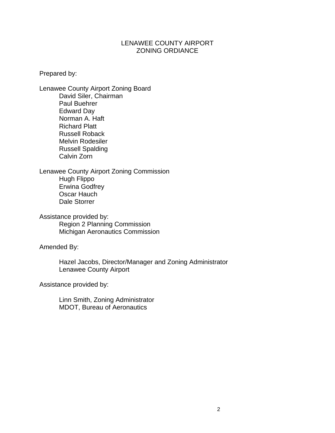#### LENAWEE COUNTY AIRPORT ZONING ORDIANCE

Prepared by:

Lenawee County Airport Zoning Board David Siler, Chairman Paul Buehrer Edward Day Norman A. Haft Richard Platt Russell Roback Melvin Rodesiler Russell Spalding Calvin Zorn

Lenawee County Airport Zoning Commission Hugh Flippo Erwina Godfrey Oscar Hauch Dale Storrer

Assistance provided by: Region 2 Planning Commission Michigan Aeronautics Commission

Amended By:

Hazel Jacobs, Director/Manager and Zoning Administrator Lenawee County Airport

Assistance provided by:

Linn Smith, Zoning Administrator MDOT, Bureau of Aeronautics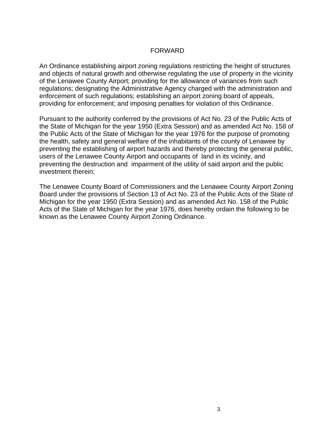#### FORWARD

An Ordinance establishing airport zoning regulations restricting the height of structures and objects of natural growth and otherwise regulating the use of property in the vicinity of the Lenawee County Airport; providing for the allowance of variances from such regulations; designating the Administrative Agency charged with the administration and enforcement of such regulations; establishing an airport zoning board of appeals, providing for enforcement; and imposing penalties for violation of this Ordinance.

Pursuant to the authority conferred by the provisions of Act No. 23 of the Public Acts of the State of Michigan for the year 1950 (Extra Session) and as amended Act No. 158 of the Public Acts of the State of Michigan for the year 1976 for the purpose of promoting the health, safety and general welfare of the inhabitants of the county of Lenawee by preventing the establishing of airport hazards and thereby protecting the general public, users of the Lenawee County Airport and occupants of land in its vicinity, and preventing the destruction and impairment of the utility of said airport and the public investment therein;

The Lenawee County Board of Commissioners and the Lenawee County Airport Zoning Board under the provisions of Section 13 of Act No. 23 of the Public Acts of the State of Michigan for the year 1950 (Extra Session) and as amended Act No. 158 of the Public Acts of the State of Michigan for the year 1976, does hereby ordain the following to be known as the Lenawee County Airport Zoning Ordinance.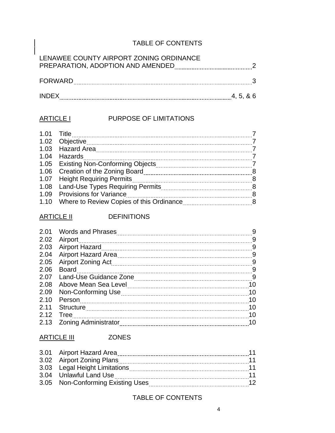#### TABLE OF CONTENTS

| LENAWEE COUNTY AIRPORT ZONING ORDINANCE<br>PREPARATION, ADOPTION AND AMENDED |           |
|------------------------------------------------------------------------------|-----------|
| FORWARD                                                                      |           |
| <b>INDFX</b>                                                                 | 4, 5, & 6 |

#### ARTICLE I PURPOSE OF LIMITATIONS

| 1.01 | Title                           |    |
|------|---------------------------------|----|
| 1.02 | Objective                       |    |
| 1.03 | <b>Hazard Area</b>              |    |
| 1.04 | Hazards                         |    |
|      |                                 |    |
| 1.06 |                                 | 8  |
| 1.07 | <b>Height Requiring Permits</b> | 8  |
| 1.08 |                                 |    |
| 1.09 | <b>Provisions for Variance</b>  | -8 |
| 1.10 |                                 | 8  |

#### ARTICLE II DEFINITIONS

| 2.01 | <b>Words and Phrases</b>                            | 9  |
|------|-----------------------------------------------------|----|
| 2.02 |                                                     | 9  |
| 2.03 | Airport Hazard                                      | 9  |
| 2.04 | Airport Hazard Area                                 | 9  |
| 2.05 |                                                     | 9  |
| 2.06 | <b>Board</b>                                        | 9  |
| 2.07 |                                                     | 9  |
| 2.08 | Above Mean Sea Level 2000 Above Mean Sea Level 2000 | 10 |
| 2.09 |                                                     | 10 |
| 2.10 | Person                                              | 10 |
| 2.11 |                                                     | 10 |
| 2.12 | Tree                                                | 10 |
| 2.13 | Zoning Administrator                                | 10 |

#### ARTICLE III ZONES

| 3.01 Airport Hazard Area          |                 |
|-----------------------------------|-----------------|
| 3.02 Airport Zoning Plans         |                 |
| 3.03 Legal Height Limitations     | 11              |
| 3.04 Unlawful Land Use            | 11              |
| 3.05 Non-Conforming Existing Uses | 12 <sub>2</sub> |

#### TABLE OF CONTENTS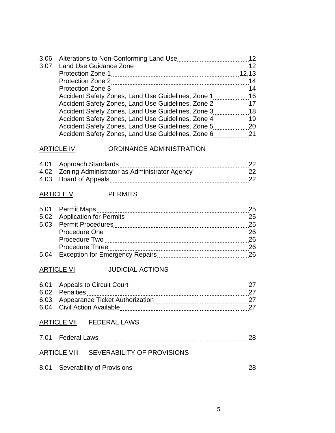| 3.06 | Alterations to Non-Conforming Land Use                | $12 \overline{ }$ |
|------|-------------------------------------------------------|-------------------|
| 3.07 |                                                       | 12                |
|      | <b>Protection Zone 1</b>                              | 12,13             |
|      | Protection Zone 2                                     | 14                |
|      | <b>Protection Zone 3</b>                              | 14                |
|      | Accident Safety Zones, Land Use Guidelines, Zone 1 16 |                   |
|      | Accident Safety Zones, Land Use Guidelines, Zone 2    | 17                |
|      | Accident Safety Zones, Land Use Guidelines, Zone 3    | 18                |
|      | Accident Safety Zones, Land Use Guidelines, Zone 4    | 19                |
|      | Accident Safety Zones, Land Use Guidelines, Zone 5    | 20                |
|      | Accident Safety Zones, Land Use Guidelines, Zone 6    | 21                |

#### ARTICLE IV ORDINANCE ADMINISTRATION

| 4.01 Approach Standards                           |  |
|---------------------------------------------------|--|
| 4.02 Zoning Administrator as Administrator Agency |  |
| 4.03 Board of Appeals                             |  |

#### ARTICLE V PERMITS

|      | 5.01 Permit Maps                       |    |
|------|----------------------------------------|----|
|      | 5.02 Application for Permits           | 25 |
|      | 5.03 Permit Procedures                 | 25 |
|      | Procedure One                          | 26 |
|      | Procedure Two                          | 26 |
|      | <b>Procedure Three</b>                 | 26 |
| 5.04 | <b>Exception for Emergency Repairs</b> | 26 |
|      |                                        |    |

#### ARTICLE VI JUDICIAL ACTIONS

| 6.01 Appeals to Circuit Court        |  |
|--------------------------------------|--|
| 6.02 Penalties                       |  |
| 6.03 Appearance Ticket Authorization |  |
| 6.04 Civil Action Available          |  |

#### ARTICLE VII FEDERAL LAWS

| 7.01 Federal Laws |                                                                         |  |
|-------------------|-------------------------------------------------------------------------|--|
|                   |                                                                         |  |
|                   | $ADT[CI F] \cup B$ $CDI$ $CDI$ $CDI$ $DII$ $TVI$ $CDF$ $DDQ$ $UQ$ $DIO$ |  |

#### ARTICLE VIII SEVERABILITY OF PROVISIONS

| 8.01 | Severability of Provisions |  |
|------|----------------------------|--|
|------|----------------------------|--|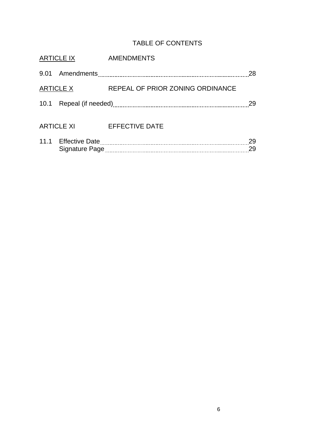### TABLE OF CONTENTS

| <b>ARTICLE IX</b> | <b>AMENDMENTS</b>                |          |
|-------------------|----------------------------------|----------|
|                   |                                  | 28       |
| <b>ARTICLE X</b>  | REPEAL OF PRIOR ZONING ORDINANCE |          |
|                   |                                  | 29       |
| <b>ARTICLE XI</b> | <b>EFFECTIVE DATE</b>            |          |
|                   |                                  | 29<br>29 |
|                   |                                  |          |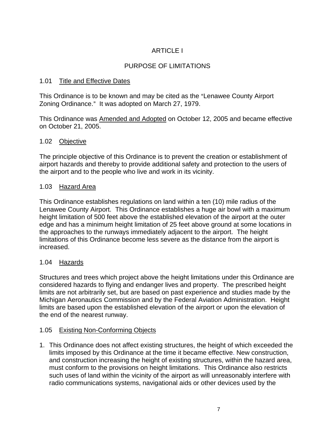#### ARTICLE I

#### PURPOSE OF LIMITATIONS

#### 1.01 Title and Effective Dates

This Ordinance is to be known and may be cited as the "Lenawee County Airport Zoning Ordinance." It was adopted on March 27, 1979.

This Ordinance was Amended and Adopted on October 12, 2005 and became effective on October 21, 2005.

#### 1.02 Objective

The principle objective of this Ordinance is to prevent the creation or establishment of airport hazards and thereby to provide additional safety and protection to the users of the airport and to the people who live and work in its vicinity.

#### 1.03 Hazard Area

This Ordinance establishes regulations on land within a ten (10) mile radius of the Lenawee County Airport. This Ordinance establishes a huge air bowl with a maximum height limitation of 500 feet above the established elevation of the airport at the outer edge and has a minimum height limitation of 25 feet above ground at some locations in the approaches to the runways immediately adjacent to the airport. The height limitations of this Ordinance become less severe as the distance from the airport is increased.

#### 1.04 Hazards

Structures and trees which project above the height limitations under this Ordinance are considered hazards to flying and endanger lives and property. The prescribed height limits are not arbitrarily set, but are based on past experience and studies made by the Michigan Aeronautics Commission and by the Federal Aviation Administration. Height limits are based upon the established elevation of the airport or upon the elevation of the end of the nearest runway.

#### 1.05 Existing Non-Conforming Objects

1. This Ordinance does not affect existing structures, the height of which exceeded the limits imposed by this Ordinance at the time it became effective. New construction, and construction increasing the height of existing structures, within the hazard area, must conform to the provisions on height limitations. This Ordinance also restricts such uses of land within the vicinity of the airport as will unreasonably interfere with radio communications systems, navigational aids or other devices used by the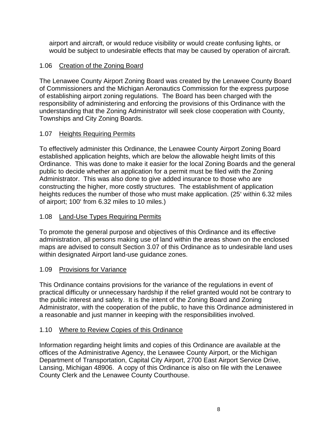airport and aircraft, or would reduce visibility or would create confusing lights, or would be subject to undesirable effects that may be caused by operation of aircraft.

#### 1.06 Creation of the Zoning Board

The Lenawee County Airport Zoning Board was created by the Lenawee County Board of Commissioners and the Michigan Aeronautics Commission for the express purpose of establishing airport zoning regulations. The Board has been charged with the responsibility of administering and enforcing the provisions of this Ordinance with the understanding that the Zoning Administrator will seek close cooperation with County, Townships and City Zoning Boards.

#### 1.07 Heights Requiring Permits

To effectively administer this Ordinance, the Lenawee County Airport Zoning Board established application heights, which are below the allowable height limits of this Ordinance. This was done to make it easier for the local Zoning Boards and the general public to decide whether an application for a permit must be filed with the Zoning Administrator. This was also done to give added insurance to those who are constructing the higher, more costly structures. The establishment of application heights reduces the number of those who must make application. (25' within 6.32 miles of airport; 100' from 6.32 miles to 10 miles.)

#### 1.08 Land-Use Types Requiring Permits

To promote the general purpose and objectives of this Ordinance and its effective administration, all persons making use of land within the areas shown on the enclosed maps are advised to consult Section 3.07 of this Ordinance as to undesirable land uses within designated Airport land-use guidance zones.

#### 1.09 Provisions for Variance

This Ordinance contains provisions for the variance of the regulations in event of practical difficulty or unnecessary hardship if the relief granted would not be contrary to the public interest and safety. It is the intent of the Zoning Board and Zoning Administrator, with the cooperation of the public, to have this Ordinance administered in a reasonable and just manner in keeping with the responsibilities involved.

#### 1.10 Where to Review Copies of this Ordinance

Information regarding height limits and copies of this Ordinance are available at the offices of the Administrative Agency, the Lenawee County Airport, or the Michigan Department of Transportation, Capital City Airport, 2700 East Airport Service Drive, Lansing, Michigan 48906. A copy of this Ordinance is also on file with the Lenawee County Clerk and the Lenawee County Courthouse.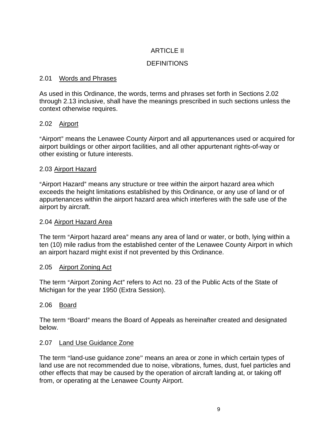#### ARTICLE II

#### **DEFINITIONS**

#### 2.01 Words and Phrases

As used in this Ordinance, the words, terms and phrases set forth in Sections 2.02 through 2.13 inclusive, shall have the meanings prescribed in such sections unless the context otherwise requires.

#### 2.02 Airport

"Airport" means the Lenawee County Airport and all appurtenances used or acquired for airport buildings or other airport facilities, and all other appurtenant rights-of-way or other existing or future interests.

#### 2.03 Airport Hazard

"Airport Hazard" means any structure or tree within the airport hazard area which exceeds the height limitations established by this Ordinance, or any use of land or of appurtenances within the airport hazard area which interferes with the safe use of the airport by aircraft.

#### 2.04 Airport Hazard Area

The term "Airport hazard area" means any area of land or water, or both, lying within a ten (10) mile radius from the established center of the Lenawee County Airport in which an airport hazard might exist if not prevented by this Ordinance.

#### 2.05 Airport Zoning Act

The term "Airport Zoning Act" refers to Act no. 23 of the Public Acts of the State of Michigan for the year 1950 (Extra Session).

#### 2.06 Board

The term "Board" means the Board of Appeals as hereinafter created and designated below.

#### 2.07 Land Use Guidance Zone

The term "land-use guidance zone" means an area or zone in which certain types of land use are not recommended due to noise, vibrations, fumes, dust, fuel particles and other effects that may be caused by the operation of aircraft landing at, or taking off from, or operating at the Lenawee County Airport.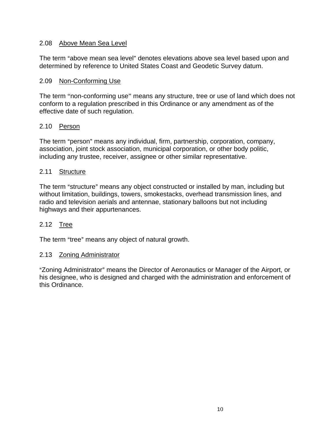#### 2.08 Above Mean Sea Level

The term "above mean sea level" denotes elevations above sea level based upon and determined by reference to United States Coast and Geodetic Survey datum.

#### 2.09 Non-Conforming Use

The term "non-conforming use" means any structure, tree or use of land which does not conform to a regulation prescribed in this Ordinance or any amendment as of the effective date of such regulation.

#### 2.10 Person

The term "person" means any individual, firm, partnership, corporation, company, association, joint stock association, municipal corporation, or other body politic, including any trustee, receiver, assignee or other similar representative.

#### 2.11 Structure

The term "structure" means any object constructed or installed by man, including but without limitation, buildings, towers, smokestacks, overhead transmission lines, and radio and television aerials and antennae, stationary balloons but not including highways and their appurtenances.

#### 2.12 Tree

The term "tree" means any object of natural growth.

#### 2.13 Zoning Administrator

"Zoning Administrator" means the Director of Aeronautics or Manager of the Airport, or his designee, who is designed and charged with the administration and enforcement of this Ordinance.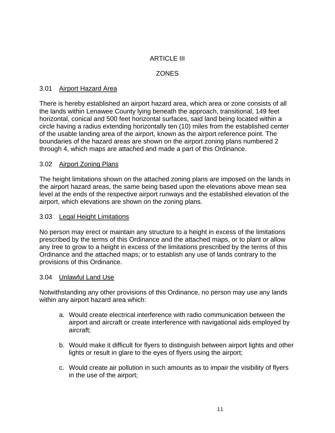#### ARTICLE III

#### **ZONES**

#### 3.01 Airport Hazard Area

There is hereby established an airport hazard area, which area or zone consists of all the lands within Lenawee County lying beneath the approach, transitional, 149 feet horizontal, conical and 500 feet horizontal surfaces, said land being located within a circle having a radius extending horizontally ten (10) miles from the established center of the usable landing area of the airport, known as the airport reference point. The boundaries of the hazard areas are shown on the airport zoning plans numbered 2 through 4, which maps are attached and made a part of this Ordinance.

#### 3.02 Airport Zoning Plans

The height limitations shown on the attached zoning plans are imposed on the lands in the airport hazard areas, the same being based upon the elevations above mean sea level at the ends of the respective airport runways and the established elevation of the airport, which elevations are shown on the zoning plans.

#### 3.03 Legal Height Limitations

No person may erect or maintain any structure to a height in excess of the limitations prescribed by the terms of this Ordinance and the attached maps, or to plant or allow any tree to grow to a height in excess of the limitations prescribed by the terms of this Ordinance and the attached maps; or to establish any use of lands contrary to the provisions of this Ordinance.

#### 3.04 Unlawful Land Use

Notwithstanding any other provisions of this Ordinance, no person may use any lands within any airport hazard area which:

- a. Would create electrical interference with radio communication between the airport and aircraft or create interference with navigational aids employed by aircraft;
- b. Would make it difficult for flyers to distinguish between airport lights and other lights or result in glare to the eyes of flyers using the airport;
- c. Would create air pollution in such amounts as to impair the visibility of flyers in the use of the airport;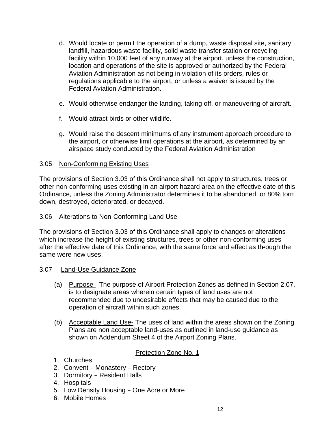- d. Would locate or permit the operation of a dump, waste disposal site, sanitary landfill, hazardous waste facility, solid waste transfer station or recycling facility within 10,000 feet of any runway at the airport, unless the construction, location and operations of the site is approved or authorized by the Federal Aviation Administration as not being in violation of its orders, rules or regulations applicable to the airport, or unless a waiver is issued by the Federal Aviation Administration.
- e. Would otherwise endanger the landing, taking off, or maneuvering of aircraft.
- f. Would attract birds or other wildlife.
- g. Would raise the descent minimums of any instrument approach procedure to the airport, or otherwise limit operations at the airport, as determined by an airspace study conducted by the Federal Aviation Administration

#### 3.05 Non-Conforming Existing Uses

The provisions of Section 3.03 of this Ordinance shall not apply to structures, trees or other non-conforming uses existing in an airport hazard area on the effective date of this Ordinance, unless the Zoning Administrator determines it to be abandoned, or 80% torn down, destroyed, deteriorated, or decayed.

#### 3.06 Alterations to Non-Conforming Land Use

The provisions of Section 3.03 of this Ordinance shall apply to changes or alterations which increase the height of existing structures, trees or other non-conforming uses after the effective date of this Ordinance, with the same force and effect as through the same were new uses.

#### 3.07 Land-Use Guidance Zone

- (a) Purpose- The purpose of Airport Protection Zones as defined in Section 2.07, is to designate areas wherein certain types of land uses are not recommended due to undesirable effects that may be caused due to the operation of aircraft within such zones.
- (b) Acceptable Land Use- The uses of land within the areas shown on the Zoning Plans are non acceptable land-uses as outlined in land-use guidance as shown on Addendum Sheet 4 of the Airport Zoning Plans.

#### Protection Zone No. 1

- 1. Churches
- 2. Convent Monastery Rectory
- 3. Dormitory Resident Halls
- 4. Hospitals
- 5. Low Density Housing One Acre or More
- 6. Mobile Homes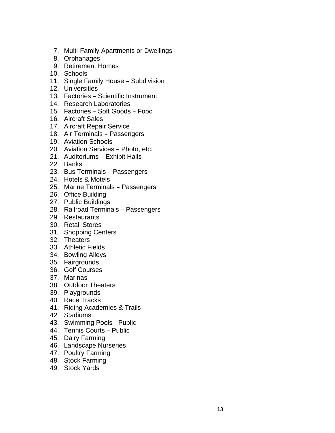- 7. Multi-Family Apartments or Dwellings
- 8. Orphanages
- 9. Retirement Homes
- 10. Schools
- 11. Single Family House Subdivision
- 12. Universities
- 13. Factories Scientific Instrument
- 14. Research Laboratories
- 15. Factories Soft Goods Food
- 16. Aircraft Sales
- 17. Aircraft Repair Service
- 18. Air Terminals Passengers
- 19. Aviation Schools
- 20. Aviation Services Photo, etc.
- 21. Auditoriums Exhibit Halls
- 22. Banks
- 23. Bus Terminals Passengers
- 24. Hotels & Motels
- 25. Marine Terminals Passengers
- 26. Office Building
- 27. Public Buildings
- 28. Railroad Terminals Passengers
- 29. Restaurants
- 30. Retail Stores
- 31. Shopping Centers
- 32. Theaters
- 33. Athletic Fields
- 34. Bowling Alleys
- 35. Fairgrounds
- 36. Golf Courses
- 37. Marinas
- 38. Outdoor Theaters
- 39. Playgrounds
- 40. Race Tracks
- 41. Riding Academies & Trails
- 42. Stadiums
- 43. Swimming Pools Public
- 44. Tennis Courts Public
- 45. Dairy Farming
- 46. Landscape Nurseries
- 47. Poultry Farming
- 48. Stock Farming
- 49. Stock Yards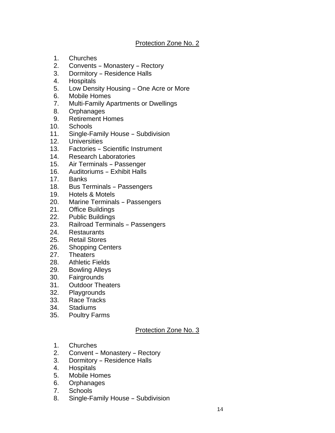#### Protection Zone No. 2

- 1. Churches
- 2. Convents Monastery Rectory
- 3. Dormitory Residence Halls
- 4. Hospitals
- 5. Low Density Housing One Acre or More
- 6. Mobile Homes
- 7. Multi-Family Apartments or Dwellings
- 8. Orphanages
- 9. Retirement Homes
- 10. Schools
- 11. Single-Family House Subdivision
- 12. Universities
- 13. Factories Scientific Instrument
- 14. Research Laboratories
- 15. Air Terminals Passenger
- 16. Auditoriums Exhibit Halls
- 17. Banks
- 18. Bus Terminals Passengers
- 19. Hotels & Motels
- 20. Marine Terminals Passengers
- 21. Office Buildings
- 22. Public Buildings
- 23. Railroad Terminals Passengers
- 24. Restaurants
- 25. Retail Stores
- 26. Shopping Centers
- 27. Theaters
- 28. Athletic Fields
- 29. Bowling Alleys
- 30. Fairgrounds
- 31. Outdoor Theaters
- 32. Playgrounds
- 33. Race Tracks
- 34. Stadiums
- 35. Poultry Farms

#### Protection Zone No. 3

- 1. Churches
- 2. Convent Monastery Rectory
- 3. Dormitory Residence Halls
- 4. Hospitals
- 5. Mobile Homes
- 6. Orphanages
- 7. Schools
- 8. Single-Family House Subdivision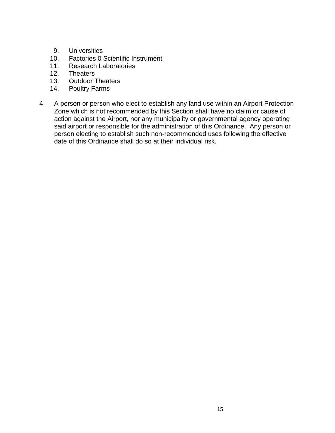- 9. Universities
- 10. Factories 0 Scientific Instrument
- 11. Research Laboratories
- 12. Theaters
- 13. Outdoor Theaters
- 14. Poultry Farms
- 4 A person or person who elect to establish any land use within an Airport Protection Zone which is not recommended by this Section shall have no claim or cause of action against the Airport, nor any municipality or governmental agency operating said airport or responsible for the administration of this Ordinance. Any person or person electing to establish such non-recommended uses following the effective date of this Ordinance shall do so at their individual risk.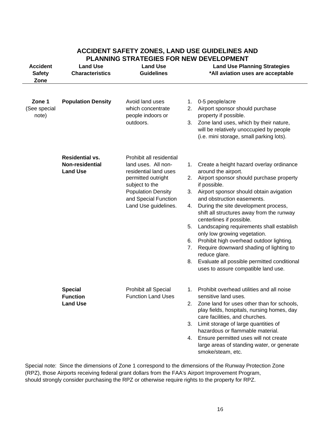#### **ACCIDENT SAFETY ZONES, LAND USE GUIDELINES AND PLANNING STRATEGIES FOR NEW DEVELOPMENT**

| <b>Accident</b><br><b>Safety</b><br>Zone | <b>Land Use</b><br><b>Characteristics</b>                    | <b>Land Use</b><br><b>Guidelines</b>                                                                                                                                                          | <b>Land Use Planning Strategies</b><br>*All aviation uses are acceptable                                                                                                                                                                                                                                                                                                                                                                                                                                                                                                                                                                        |
|------------------------------------------|--------------------------------------------------------------|-----------------------------------------------------------------------------------------------------------------------------------------------------------------------------------------------|-------------------------------------------------------------------------------------------------------------------------------------------------------------------------------------------------------------------------------------------------------------------------------------------------------------------------------------------------------------------------------------------------------------------------------------------------------------------------------------------------------------------------------------------------------------------------------------------------------------------------------------------------|
| Zone 1<br>(See special<br>note)          | <b>Population Density</b>                                    | Avoid land uses<br>which concentrate<br>people indoors or<br>outdoors.                                                                                                                        | 0-5 people/acre<br>1.<br>Airport sponsor should purchase<br>2.<br>property if possible.<br>Zone land uses, which by their nature,<br>3.<br>will be relatively unoccupied by people<br>(i.e. mini storage, small parking lots).                                                                                                                                                                                                                                                                                                                                                                                                                  |
|                                          | <b>Residential vs.</b><br>Non-residential<br><b>Land Use</b> | Prohibit all residential<br>land uses. All non-<br>residential land uses<br>permitted outright<br>subject to the<br><b>Population Density</b><br>and Special Function<br>Land Use guidelines. | Create a height hazard overlay ordinance<br>1.<br>around the airport.<br>Airport sponsor should purchase property<br>2.<br>if possible.<br>Airport sponsor should obtain avigation<br>3.<br>and obstruction easements.<br>During the site development process,<br>4.<br>shift all structures away from the runway<br>centerlines if possible.<br>Landscaping requirements shall establish<br>5.<br>only low growing vegetation.<br>Prohibit high overhead outdoor lighting.<br>6.<br>Require downward shading of lighting to<br>7.<br>reduce glare.<br>Evaluate all possible permitted conditional<br>8.<br>uses to assure compatible land use. |
|                                          | <b>Special</b><br><b>Function</b><br><b>Land Use</b>         | Prohibit all Special<br><b>Function Land Uses</b>                                                                                                                                             | Prohibit overhead utilities and all noise<br>1.<br>sensitive land uses.<br>Zone land for uses other than for schools,<br>2.<br>play fields, hospitals, nursing homes, day<br>care facilities, and churches.<br>Limit storage of large quantities of<br>3.<br>hazardous or flammable material.<br>Ensure permitted uses will not create<br>4.<br>large areas of standing water, or generate<br>smoke/steam, etc.                                                                                                                                                                                                                                 |

Special note: Since the dimensions of Zone 1 correspond to the dimensions of the Runway Protection Zone (RPZ), those Airports receiving federal grant dollars from the FAA's Airport Improvement Program, should strongly consider purchasing the RPZ or otherwise require rights to the property for RPZ.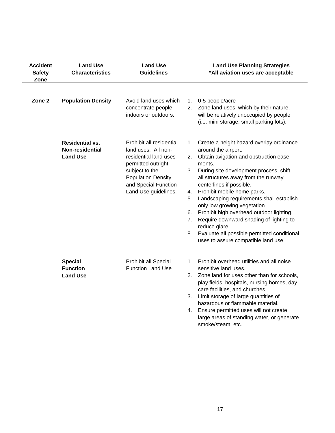| <b>Accident</b><br><b>Safety</b><br>Zone | <b>Land Use</b><br><b>Characteristics</b>                    | <b>Land Use</b><br><b>Guidelines</b>                                                                                                                                                          | <b>Land Use Planning Strategies</b><br>*All aviation uses are acceptable                                                                                                                                                                                                                                                                                                                                                                                                                                                                                                                  |
|------------------------------------------|--------------------------------------------------------------|-----------------------------------------------------------------------------------------------------------------------------------------------------------------------------------------------|-------------------------------------------------------------------------------------------------------------------------------------------------------------------------------------------------------------------------------------------------------------------------------------------------------------------------------------------------------------------------------------------------------------------------------------------------------------------------------------------------------------------------------------------------------------------------------------------|
| Zone <sub>2</sub>                        | <b>Population Density</b>                                    | Avoid land uses which<br>concentrate people<br>indoors or outdoors.                                                                                                                           | 0-5 people/acre<br>1.<br>Zone land uses, which by their nature,<br>2.<br>will be relatively unoccupied by people<br>(i.e. mini storage, small parking lots).                                                                                                                                                                                                                                                                                                                                                                                                                              |
|                                          | <b>Residential vs.</b><br>Non-residential<br><b>Land Use</b> | Prohibit all residential<br>land uses. All non-<br>residential land uses<br>permitted outright<br>subject to the<br><b>Population Density</b><br>and Special Function<br>Land Use guidelines. | Create a height hazard overlay ordinance<br>1.<br>around the airport.<br>Obtain avigation and obstruction ease-<br>2.<br>ments.<br>During site development process, shift<br>3.<br>all structures away from the runway<br>centerlines if possible.<br>Prohibit mobile home parks.<br>4.<br>Landscaping requirements shall establish<br>5.<br>only low growing vegetation.<br>Prohibit high overhead outdoor lighting.<br>6.<br>7.<br>Require downward shading of lighting to<br>reduce glare.<br>Evaluate all possible permitted conditional<br>8.<br>uses to assure compatible land use. |
|                                          | <b>Special</b><br><b>Function</b><br><b>Land Use</b>         | Prohibit all Special<br><b>Function Land Use</b>                                                                                                                                              | Prohibit overhead utilities and all noise<br>1.<br>sensitive land uses.<br>2.<br>Zone land for uses other than for schools,<br>play fields, hospitals, nursing homes, day<br>care facilities, and churches.<br>Limit storage of large quantities of<br>3.<br>hazardous or flammable material.<br>Ensure permitted uses will not create<br>4.<br>large areas of standing water, or generate<br>smoke/steam, etc.                                                                                                                                                                           |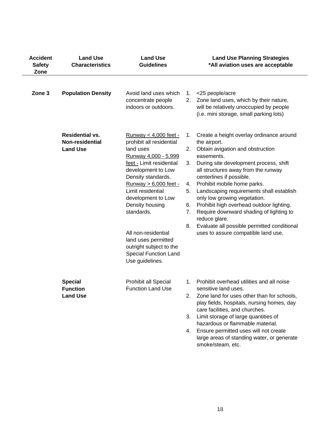| <b>Accident</b><br><b>Safety</b><br>Zone | <b>Land Use</b><br><b>Characteristics</b>                    | <b>Land Use</b><br><b>Guidelines</b>                                                                                                                                                                                                                                                                                                                                                                |                                              | <b>Land Use Planning Strategies</b><br>*All aviation uses are acceptable                                                                                                                                                                                                                                                                                                                                                                                                                                                         |
|------------------------------------------|--------------------------------------------------------------|-----------------------------------------------------------------------------------------------------------------------------------------------------------------------------------------------------------------------------------------------------------------------------------------------------------------------------------------------------------------------------------------------------|----------------------------------------------|----------------------------------------------------------------------------------------------------------------------------------------------------------------------------------------------------------------------------------------------------------------------------------------------------------------------------------------------------------------------------------------------------------------------------------------------------------------------------------------------------------------------------------|
| Zone <sub>3</sub>                        | <b>Population Density</b>                                    | Avoid land uses which<br>concentrate people<br>indoors or outdoors.                                                                                                                                                                                                                                                                                                                                 | 1.<br>2.                                     | <25 people/acre<br>Zone land uses, which by their nature,<br>will be relatively unoccupied by people<br>(i.e. mini storage, small parking lots)                                                                                                                                                                                                                                                                                                                                                                                  |
|                                          | <b>Residential vs.</b><br>Non-residential<br><b>Land Use</b> | Runway $<$ 4,000 feet -<br>prohibit all residential<br>land uses<br>Runway 4,000 - 5,999<br>feet - Limit residential<br>development to Low<br>Density standards.<br>$Runway > 6,000 feet -$<br>Limit residential<br>development to Low<br>Density housing<br>standards.<br>All non-residential<br>land uses permitted<br>outright subject to the<br><b>Special Function Land</b><br>Use guidelines. | 1.<br>2.<br>3.<br>4.<br>5.<br>6.<br>7.<br>8. | Create a height overlay ordinance around<br>the airport.<br>Obtain avigation and obstruction<br>easements.<br>During site development process, shift<br>all structures away from the runway<br>centerlines if possible.<br>Prohibit mobile home parks.<br>Landscaping requirements shall establish<br>only low growing vegetation.<br>Prohibit high overhead outdoor lighting.<br>Require downward shading of lighting to<br>reduce glare.<br>Evaluate all possible permitted conditional<br>uses to assure compatible land use. |
|                                          | <b>Special</b><br><b>Function</b><br><b>Land Use</b>         | Prohibit all Special<br><b>Function Land Use</b>                                                                                                                                                                                                                                                                                                                                                    | 1.<br>2.<br>3.<br>4.                         | Prohibit overhead utilities and all noise<br>sensitive land uses.<br>Zone land for uses other than for schools,<br>play fields, hospitals, nursing homes, day<br>care facilities, and churches.<br>Limit storage of large quantities of<br>hazardous or flammable material.<br>Ensure permitted uses will not create<br>large areas of standing water, or generate<br>smoke/steam, etc.                                                                                                                                          |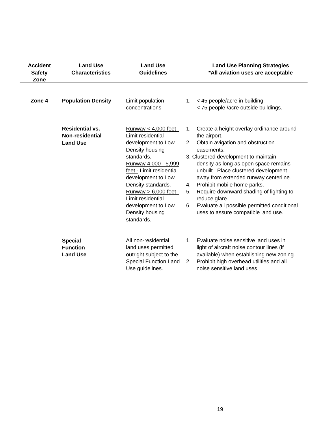| <b>Accident</b><br><b>Safety</b><br>Zone | <b>Land Use</b><br><b>Characteristics</b>                    | <b>Land Use</b><br><b>Guidelines</b>                                                                                                                                                                                                                                                                     | <b>Land Use Planning Strategies</b><br>*All aviation uses are acceptable                                                                                                                                                                                                                                                                                                                                                                                                                    |
|------------------------------------------|--------------------------------------------------------------|----------------------------------------------------------------------------------------------------------------------------------------------------------------------------------------------------------------------------------------------------------------------------------------------------------|---------------------------------------------------------------------------------------------------------------------------------------------------------------------------------------------------------------------------------------------------------------------------------------------------------------------------------------------------------------------------------------------------------------------------------------------------------------------------------------------|
| Zone 4                                   | <b>Population Density</b>                                    | Limit population<br>concentrations.                                                                                                                                                                                                                                                                      | < 45 people/acre in building,<br>1.<br>< 75 people /acre outside buildings.                                                                                                                                                                                                                                                                                                                                                                                                                 |
|                                          | <b>Residential vs.</b><br>Non-residential<br><b>Land Use</b> | Runway < 4,000 feet -<br>Limit residential<br>development to Low<br>Density housing<br>standards.<br>Runway 4,000 - 5,999<br>feet - Limit residential<br>development to Low<br>Density standards.<br>Runway $> 6,000$ feet -<br>Limit residential<br>development to Low<br>Density housing<br>standards. | Create a height overlay ordinance around<br>1.<br>the airport.<br>Obtain avigation and obstruction<br>2.<br>easements.<br>3. Clustered development to maintain<br>density as long as open space remains<br>unbuilt. Place clustered development<br>away from extended runway centerline.<br>Prohibit mobile home parks.<br>4.<br>Require downward shading of lighting to<br>5.<br>reduce glare.<br>Evaluate all possible permitted conditional<br>6.<br>uses to assure compatible land use. |
|                                          | <b>Special</b><br><b>Function</b><br><b>Land Use</b>         | All non-residential<br>land uses permitted<br>outright subject to the<br><b>Special Function Land</b><br>Use guidelines.                                                                                                                                                                                 | Evaluate noise sensitive land uses in<br>$1_{\cdot}$<br>light of aircraft noise contour lines (if<br>available) when establishing new zoning.<br>Prohibit high overhead utilities and all<br>2.<br>noise sensitive land uses.                                                                                                                                                                                                                                                               |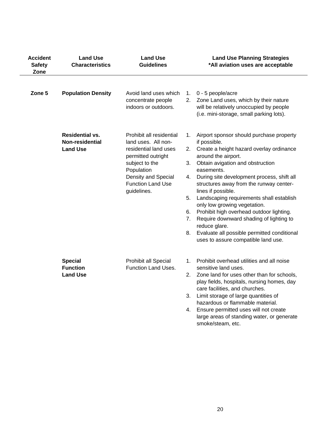| <b>Accident</b><br><b>Safety</b><br>Zone | <b>Land Use</b><br><b>Characteristics</b>                    | <b>Land Use</b><br><b>Guidelines</b>                                                                                                                                                      | <b>Land Use Planning Strategies</b><br>*All aviation uses are acceptable                                                                                                                                                                                                                                                                                                                                                                                                                                                                                                                                                        |
|------------------------------------------|--------------------------------------------------------------|-------------------------------------------------------------------------------------------------------------------------------------------------------------------------------------------|---------------------------------------------------------------------------------------------------------------------------------------------------------------------------------------------------------------------------------------------------------------------------------------------------------------------------------------------------------------------------------------------------------------------------------------------------------------------------------------------------------------------------------------------------------------------------------------------------------------------------------|
| Zone 5                                   | <b>Population Density</b>                                    | Avoid land uses which<br>concentrate people<br>indoors or outdoors.                                                                                                                       | 0 - 5 people/acre<br>1.<br>Zone Land uses, which by their nature<br>2.<br>will be relatively unoccupied by people<br>(i.e. mini-storage, small parking lots).                                                                                                                                                                                                                                                                                                                                                                                                                                                                   |
|                                          | <b>Residential vs.</b><br>Non-residential<br><b>Land Use</b> | Prohibit all residential<br>land uses. All non-<br>residential land uses<br>permitted outright<br>subject to the<br>Population<br>Density and Special<br>Function Land Use<br>guidelines. | Airport sponsor should purchase property<br>1.<br>if possible.<br>Create a height hazard overlay ordinance<br>2.<br>around the airport.<br>Obtain avigation and obstruction<br>3.<br>easements.<br>During site development process, shift all<br>4.<br>structures away from the runway center-<br>lines if possible.<br>Landscaping requirements shall establish<br>5.<br>only low growing vegetation.<br>Prohibit high overhead outdoor lighting.<br>6.<br>Require downward shading of lighting to<br>$7_{\cdot}$<br>reduce glare.<br>Evaluate all possible permitted conditional<br>8.<br>uses to assure compatible land use. |
|                                          | <b>Special</b><br><b>Function</b><br><b>Land Use</b>         | Prohibit all Special<br>Function Land Uses.                                                                                                                                               | Prohibit overhead utilities and all noise<br>1.<br>sensitive land uses.<br>2.<br>Zone land for uses other than for schools,<br>play fields, hospitals, nursing homes, day<br>care facilities, and churches.<br>Limit storage of large quantities of<br>3.<br>hazardous or flammable material.<br>Ensure permitted uses will not create<br>4.<br>large areas of standing water, or generate<br>smoke/steam, etc.                                                                                                                                                                                                                 |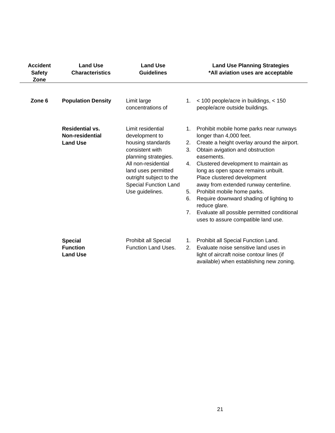| <b>Accident</b><br><b>Safety</b><br>Zone | <b>Land Use</b><br><b>Characteristics</b>                           | <b>Land Use</b><br><b>Guidelines</b>                                                                                                                                                                                            |                                        | <b>Land Use Planning Strategies</b><br>*All aviation uses are acceptable                                                                                                                                                                                                                                                                                                                                                                                                                                    |
|------------------------------------------|---------------------------------------------------------------------|---------------------------------------------------------------------------------------------------------------------------------------------------------------------------------------------------------------------------------|----------------------------------------|-------------------------------------------------------------------------------------------------------------------------------------------------------------------------------------------------------------------------------------------------------------------------------------------------------------------------------------------------------------------------------------------------------------------------------------------------------------------------------------------------------------|
| Zone 6                                   | <b>Population Density</b>                                           | Limit large<br>concentrations of                                                                                                                                                                                                | 1.                                     | $<$ 100 people/acre in buildings, $<$ 150<br>people/acre outside buildings.                                                                                                                                                                                                                                                                                                                                                                                                                                 |
|                                          | <b>Residential vs.</b><br><b>Non-residential</b><br><b>Land Use</b> | Limit residential<br>development to<br>housing standards<br>consistent with<br>planning strategies.<br>All non-residential<br>land uses permitted<br>outright subject to the<br><b>Special Function Land</b><br>Use guidelines. | 1.<br>2.<br>3.<br>4.<br>5.<br>6.<br>7. | Prohibit mobile home parks near runways<br>longer than 4,000 feet.<br>Create a height overlay around the airport.<br>Obtain avigation and obstruction<br>easements.<br>Clustered development to maintain as<br>long as open space remains unbuilt.<br>Place clustered development<br>away from extended runway centerline.<br>Prohibit mobile home parks.<br>Require downward shading of lighting to<br>reduce glare.<br>Evaluate all possible permitted conditional<br>uses to assure compatible land use. |
|                                          | <b>Special</b><br><b>Function</b><br><b>Land Use</b>                | Prohibit all Special<br>Function Land Uses.                                                                                                                                                                                     | 1.<br>2.                               | Prohibit all Special Function Land.<br>Evaluate noise sensitive land uses in<br>light of aircraft noise contour lines (if<br>available) when establishing new zoning.                                                                                                                                                                                                                                                                                                                                       |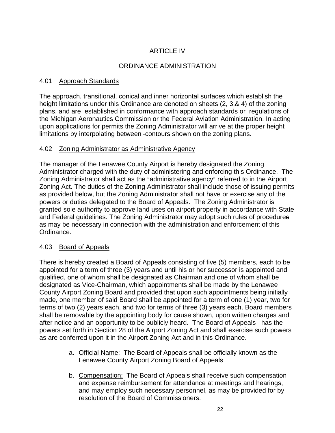#### ARTICLE IV

#### ORDINANCE ADMINISTRATION

#### 4.01 Approach Standards

The approach, transitional, conical and inner horizontal surfaces which establish the height limitations under this Ordinance are denoted on sheets (2, 3,& 4) of the zoning plans, and are established in conformance with approach standards or regulations of the Michigan Aeronautics Commission or the Federal Aviation Administration. In acting upon applications for permits the Zoning Administrator will arrive at the proper height limitations by interpolating between -contours shown on the zoning plans.

#### 4.02 Zoning Administrator as Administrative Agency

The manager of the Lenawee County Airport is hereby designated the Zoning Administrator charged with the duty of administering and enforcing this Ordinance. The Zoning Administrator shall act as the "administrative agency" referred to in the Airport Zoning Act. The duties of the Zoning Administrator shall include those of issuing permits as provided below, but the Zoning Administrator shall not have or exercise any of the powers or duties delegated to the Board of Appeals. The Zoning Administrator is granted sole authority to approve land uses on airport property in accordance with State and Federal guidelines. The Zoning Administrator may adopt such rules of procedures as may be necessary in connection with the administration and enforcement of this Ordinance.

#### 4.03 Board of Appeals

There is hereby created a Board of Appeals consisting of five (5) members, each to be appointed for a term of three (3) years and until his or her successor is appointed and qualified, one of whom shall be designated as Chairman and one of whom shall be designated as Vice-Chairman, which appointments shall be made by the Lenawee County Airport Zoning Board and provided that upon such appointments being initially made, one member of said Board shall be appointed for a term of one (1) year, two for terms of two (2) years each, and two for terms of three (3) years each. Board members shall be removable by the appointing body for cause shown, upon written charges and after notice and an opportunity to be publicly heard. The Board of Appeals has the powers set forth in Section 28 of the Airport Zoning Act and shall exercise such powers as are conferred upon it in the Airport Zoning Act and in this Ordinance.

- a. Official Name: The Board of Appeals shall be officially known as the Lenawee County Airport Zoning Board of Appeals
- b. Compensation: The Board of Appeals shall receive such compensation and expense reimbursement for attendance at meetings and hearings, and may employ such necessary personnel, as may be provided for by resolution of the Board of Commissioners.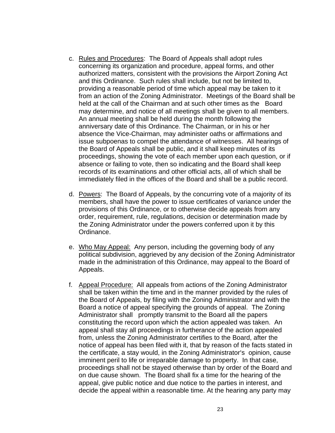- c. Rules and Procedures: The Board of Appeals shall adopt rules concerning its organization and procedure, appeal forms, and other authorized matters, consistent with the provisions the Airport Zoning Act and this Ordinance. Such rules shall include, but not be limited to, providing a reasonable period of time which appeal may be taken to it from an action of the Zoning Administrator. Meetings of the Board shall be held at the call of the Chairman and at such other times as the Board may determine, and notice of all meetings shall be given to all members. An annual meeting shall be held during the month following the anniversary date of this Ordinance. The Chairman, or in his or her absence the Vice-Chairman, may administer oaths or affirmations and issue subpoenas to compel the attendance of witnesses. All hearings of the Board of Appeals shall be public, and it shall keep minutes of its proceedings, showing the vote of each member upon each question, or if absence or failing to vote, then so indicating and the Board shall keep records of its examinations and other official acts, all of which shall be immediately filed in the offices of the Board and shall be a public record.
- d. Powers: The Board of Appeals, by the concurring vote of a majority of its members, shall have the power to issue certificates of variance under the provisions of this Ordinance, or to otherwise decide appeals from any order, requirement, rule, regulations, decision or determination made by the Zoning Administrator under the powers conferred upon it by this Ordinance.
- e. Who May Appeal: Any person, including the governing body of any political subdivision, aggrieved by any decision of the Zoning Administrator made in the administration of this Ordinance, may appeal to the Board of Appeals.
- f. Appeal Procedure: All appeals from actions of the Zoning Administrator shall be taken within the time and in the manner provided by the rules of the Board of Appeals, by filing with the Zoning Administrator and with the Board a notice of appeal specifying the grounds of appeal. The Zoning Administrator shall promptly transmit to the Board all the papers constituting the record upon which the action appealed was taken. An appeal shall stay all proceedings in furtherance of the action appealed from, unless the Zoning Administrator certifies to the Board, after the notice of appeal has been filed with it, that by reason of the facts stated in the certificate, a stay would, in the Zoning Administrator's opinion, cause imminent peril to life or irreparable damage to property. In that case, proceedings shall not be stayed otherwise than by order of the Board and on due cause shown. The Board shall fix a time for the hearing of the appeal, give public notice and due notice to the parties in interest, and decide the appeal within a reasonable time. At the hearing any party may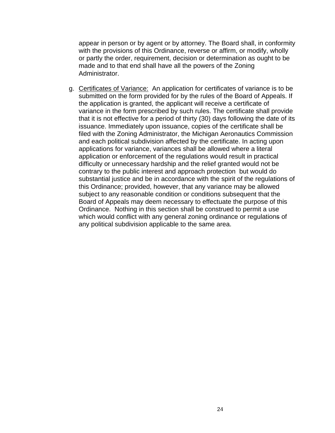appear in person or by agent or by attorney. The Board shall, in conformity with the provisions of this Ordinance, reverse or affirm, or modify, wholly or partly the order, requirement, decision or determination as ought to be made and to that end shall have all the powers of the Zoning Administrator.

g. Certificates of Variance: An application for certificates of variance is to be submitted on the form provided for by the rules of the Board of Appeals. If the application is granted, the applicant will receive a certificate of variance in the form prescribed by such rules. The certificate shall provide that it is not effective for a period of thirty (30) days following the date of its issuance. Immediately upon issuance, copies of the certificate shall be filed with the Zoning Administrator, the Michigan Aeronautics Commission and each political subdivision affected by the certificate. In acting upon applications for variance, variances shall be allowed where a literal application or enforcement of the regulations would result in practical difficulty or unnecessary hardship and the relief granted would not be contrary to the public interest and approach protection but would do substantial justice and be in accordance with the spirit of the regulations of this Ordinance; provided, however, that any variance may be allowed subject to any reasonable condition or conditions subsequent that the Board of Appeals may deem necessary to effectuate the purpose of this Ordinance. Nothing in this section shall be construed to permit a use which would conflict with any general zoning ordinance or regulations of any political subdivision applicable to the same area.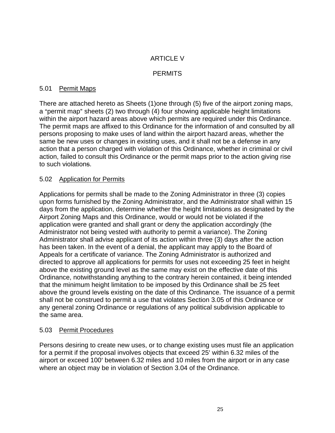#### ARTICLE V

#### **PERMITS**

#### 5.01 Permit Maps

There are attached hereto as Sheets (1)one through (5) five of the airport zoning maps, a "permit map" sheets (2) two through (4) four showing applicable height limitations within the airport hazard areas above which permits are required under this Ordinance. The permit maps are affixed to this Ordinance for the information of and consulted by all persons proposing to make uses of land within the airport hazard areas, whether the same be new uses or changes in existing uses, and it shall not be a defense in any action that a person charged with violation of this Ordinance, whether in criminal or civil action, failed to consult this Ordinance or the permit maps prior to the action giving rise to such violations.

#### 5.02 Application for Permits

Applications for permits shall be made to the Zoning Administrator in three (3) copies upon forms furnished by the Zoning Administrator, and the Administrator shall within 15 days from the application, determine whether the height limitations as designated by the Airport Zoning Maps and this Ordinance, would or would not be violated if the application were granted and shall grant or deny the application accordingly (the Administrator not being vested with authority to permit a variance). The Zoning Administrator shall advise applicant of its action within three (3) days after the action has been taken. In the event of a denial, the applicant may apply to the Board of Appeals for a certificate of variance. The Zoning Administrator is authorized and directed to approve all applications for permits for uses not exceeding 25 feet in height above the existing ground level as the same may exist on the effective date of this Ordinance, notwithstanding anything to the contrary herein contained, it being intended that the minimum height limitation to be imposed by this Ordinance shall be 25 feet above the ground levels existing on the date of this Ordinance. The issuance of a permit shall not be construed to permit a use that violates Section 3.05 of this Ordinance or any general zoning Ordinance or regulations of any political subdivision applicable to the same area.

#### 5.03 Permit Procedures

Persons desiring to create new uses, or to change existing uses must file an application for a permit if the proposal involves objects that exceed 25' within 6.32 miles of the airport or exceed 100' between 6.32 miles and 10 miles from the airport or in any case where an object may be in violation of Section 3.04 of the Ordinance.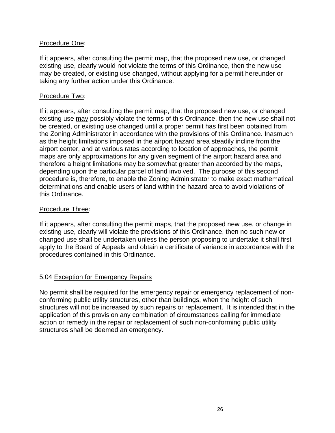#### Procedure One:

If it appears, after consulting the permit map, that the proposed new use, or changed existing use, clearly would not violate the terms of this Ordinance, then the new use may be created, or existing use changed, without applying for a permit hereunder or taking any further action under this Ordinance.

#### Procedure Two:

If it appears, after consulting the permit map, that the proposed new use, or changed existing use may possibly violate the terms of this Ordinance, then the new use shall not be created, or existing use changed until a proper permit has first been obtained from the Zoning Administrator in accordance with the provisions of this Ordinance. Inasmuch as the height limitations imposed in the airport hazard area steadily incline from the airport center, and at various rates according to location of approaches, the permit maps are only approximations for any given segment of the airport hazard area and therefore a height limitations may be somewhat greater than accorded by the maps, depending upon the particular parcel of land involved. The purpose of this second procedure is, therefore, to enable the Zoning Administrator to make exact mathematical determinations and enable users of land within the hazard area to avoid violations of this Ordinance.

#### Procedure Three:

If it appears, after consulting the permit maps, that the proposed new use, or change in existing use, clearly will violate the provisions of this Ordinance, then no such new or changed use shall be undertaken unless the person proposing to undertake it shall first apply to the Board of Appeals and obtain a certificate of variance in accordance with the procedures contained in this Ordinance.

#### 5.04 Exception for Emergency Repairs

No permit shall be required for the emergency repair or emergency replacement of nonconforming public utility structures, other than buildings, when the height of such structures will not be increased by such repairs or replacement. It is intended that in the application of this provision any combination of circumstances calling for immediate action or remedy in the repair or replacement of such non-conforming public utility structures shall be deemed an emergency.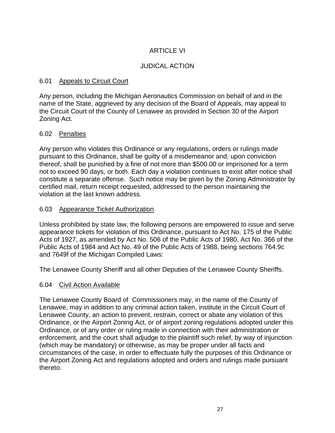#### ARTICLE VI

#### JUDICAL ACTION

#### 6.01 Appeals to Circuit Court

Any person, including the Michigan Aeronautics Commission on behalf of and in the name of the State, aggrieved by any decision of the Board of Appeals, may appeal to the Circuit Court of the County of Lenawee as provided in Section 30 of the Airport Zoning Act.

#### 6.02 Penalties

Any person who violates this Ordinance or any regulations, orders or rulings made pursuant to this Ordinance, shall be guilty of a misdemeanor and, upon conviction thereof, shall be punished by a fine of not more than \$500.00 or imprisoned for a term not to exceed 90 days, or both. Each day a violation continues to exist after notice shall constitute a separate offense. Such notice may be given by the Zoning Administrator by certified mail, return receipt requested, addressed to the person maintaining the violation at the last known address.

#### 6.03 Appearance Ticket Authorization

Unless prohibited by state law, the following persons are empowered to issue and serve appearance tickets for violation of this Ordinance, pursuant to Act No. 175 of the Public Acts of 1927, as amended by Act No. 506 of the Public Acts of 1980, Act No. 366 of the Public Acts of 1984 and Act No. 49 of the Public Acts of 1988, being sections 764.9c and 7649f of the Michigan Compiled Laws:

The Lenawee County Sheriff and all other Deputies of the Lenawee County Sheriffs.

#### 6.04 Civil Action Available

The Lenawee County Board of Commissioners may, in the name of the County of Lenawee, may in addition to any criminal action taken, institute in the Circuit Court of Lenawee County, an action to prevent, restrain, correct or abate any violation of this Ordinance, or the Airport Zoning Act, or of airport zoning regulations adopted under this Ordinance, or of any order or ruling made in connection with their administration or enforcement, and the court shall adjudge to the plaintiff such relief, by way of injunction (which may be mandatory) or otherwise, as may be proper under all facts and circumstances of the case, in order to effectuate fully the purposes of this Ordinance or the Airport Zoning Act and regulations adopted and orders and rulings made pursuant thereto.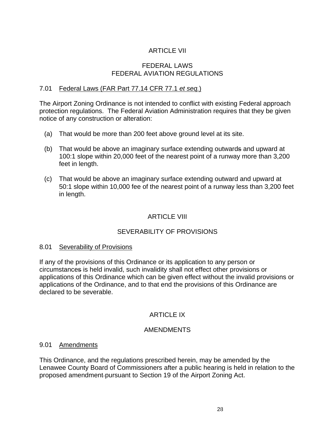#### ARTICI F VII

#### FEDERAL LAWS FEDERAL AVIATION REGULATIONS

#### 7.01 Federal Laws (FAR Part 77.14 CFR 77.1 *et seq.*)

The Airport Zoning Ordinance is not intended to conflict with existing Federal approach protection regulations. The Federal Aviation Administration requires that they be given notice of any construction or alteration:

- (a) That would be more than 200 feet above ground level at its site.
- (b) That would be above an imaginary surface extending outwards and upward at 100:1 slope within 20,000 feet of the nearest point of a runway more than 3,200 feet in length.
- (c) That would be above an imaginary surface extending outward and upward at 50:1 slope within 10,000 fee of the nearest point of a runway less than 3,200 feet in length.

#### ARTICLE VIII

#### SEVERABILITY OF PROVISIONS

#### 8.01 Severability of Provisions

If any of the provisions of this Ordinance or its application to any person or circumstances is held invalid, such invalidity shall not effect other provisions or applications of this Ordinance which can be given effect without the invalid provisions or applications of the Ordinance, and to that end the provisions of this Ordinance are declared to be severable.

#### **ARTICLE IX**

#### AMENDMENTS

#### 9.01 Amendments

This Ordinance, and the regulations prescribed herein, may be amended by the Lenawee County Board of Commissioners after a public hearing is held in relation to the proposed amendment pursuant to Section 19 of the Airport Zoning Act.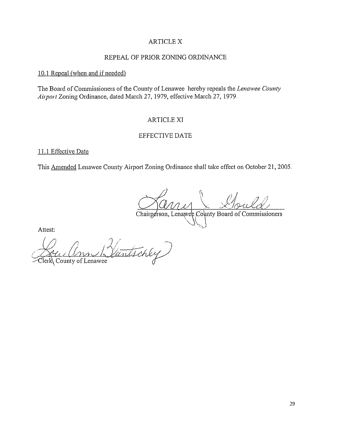#### **ARTICLE X**

#### REPEAL OF PRIOR ZONING ORDINANCE

#### 10.1 Repeal (when and if needed)

The Board of Commissioners of the County of Lenawee hereby repeals the Lenawee County Airport Zoning Ordinance, dated March 27, 1979, effective March 27, 1979.

#### **ARTICLE XI**

#### EFFECTIVE DATE

#### 11.1 Effective Date

This Amended Lenawee County Airport Zoning Ordinance shall take effect on October 21, 2005.

Chairperson, Lenawee County Board of Commissioners

Attest:

atschly Clerk County of Lenawee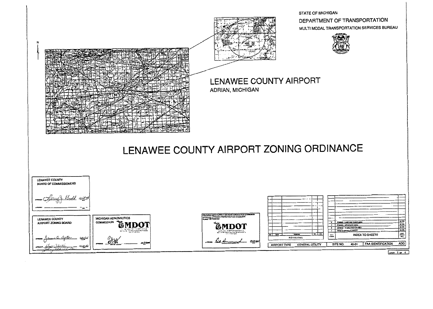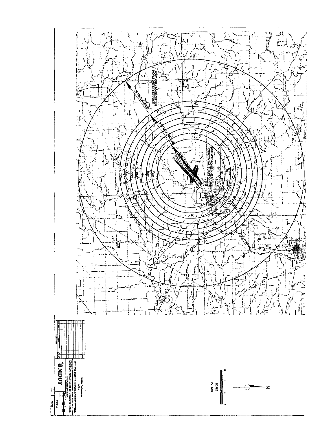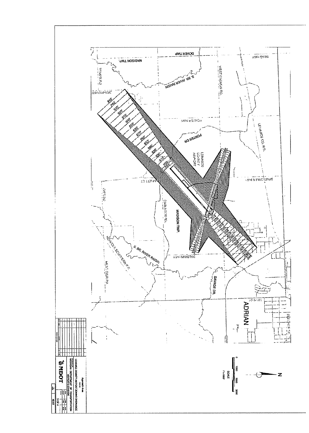